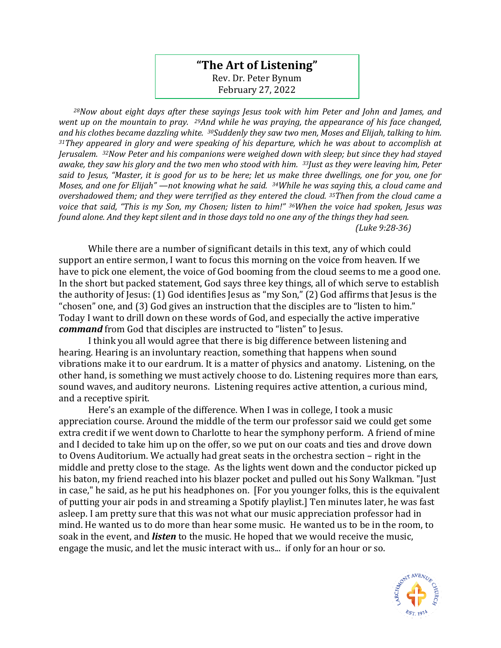## **"The Art of Listening"** Rev. Dr. Peter Bynum February 27, 2022

*<sup>28</sup>Now about eight days after these sayings Jesus took with him Peter and John and James, and went up on the mountain to pray. 29And while he was praying, the appearance of his face changed, and his clothes became dazzling white. 30Suddenly they saw two men, Moses and Elijah, talking to him. <sup>31</sup>They appeared in glory and were speaking of his departure, which he was about to accomplish at Jerusalem. 32Now Peter and his companions were weighed down with sleep; but since they had stayed awake, they saw his glory and the two men who stood with him. 33Just as they were leaving him, Peter said to Jesus, "Master, it is good for us to be here; let us make three dwellings, one for you, one for Moses, and one for Elijah" —not knowing what he said. 34While he was saying this, a cloud came and overshadowed them; and they were terrified as they entered the cloud. 35Then from the cloud came a voice that said, "This is my Son, my Chosen; listen to him!" 36When the voice had spoken, Jesus was found alone. And they kept silent and in those days told no one any of the things they had seen. (Luke 9:28-36)*

While there are a number of significant details in this text, any of which could support an entire sermon, I want to focus this morning on the voice from heaven. If we have to pick one element, the voice of God booming from the cloud seems to me a good one. In the short but packed statement, God says three key things, all of which serve to establish the authority of Jesus: (1) God identifies Jesus as "my Son," (2) God affirms that Jesus is the "chosen" one, and (3) God gives an instruction that the disciples are to "listen to him." Today I want to drill down on these words of God, and especially the active imperative *command* from God that disciples are instructed to "listen" to Jesus.

I think you all would agree that there is big difference between listening and hearing. Hearing is an involuntary reaction, something that happens when sound vibrations make it to our eardrum. It is a matter of physics and anatomy. Listening, on the other hand, is something we must actively choose to do. Listening requires more than ears, sound waves, and auditory neurons. Listening requires active attention, a curious mind, and a receptive spirit.

Here's an example of the difference. When I was in college, I took a music appreciation course. Around the middle of the term our professor said we could get some extra credit if we went down to Charlotte to hear the symphony perform. A friend of mine and I decided to take him up on the offer, so we put on our coats and ties and drove down to Ovens Auditorium. We actually had great seats in the orchestra section – right in the middle and pretty close to the stage. As the lights went down and the conductor picked up his baton, my friend reached into his blazer pocket and pulled out his Sony Walkman. "Just in case," he said, as he put his headphones on. [For you younger folks, this is the equivalent of putting your air pods in and streaming a Spotify playlist.] Ten minutes later, he was fast asleep. I am pretty sure that this was not what our music appreciation professor had in mind. He wanted us to do more than hear some music. He wanted us to be in the room, to soak in the event, and *listen* to the music. He hoped that we would receive the music, engage the music, and let the music interact with us... if only for an hour or so.

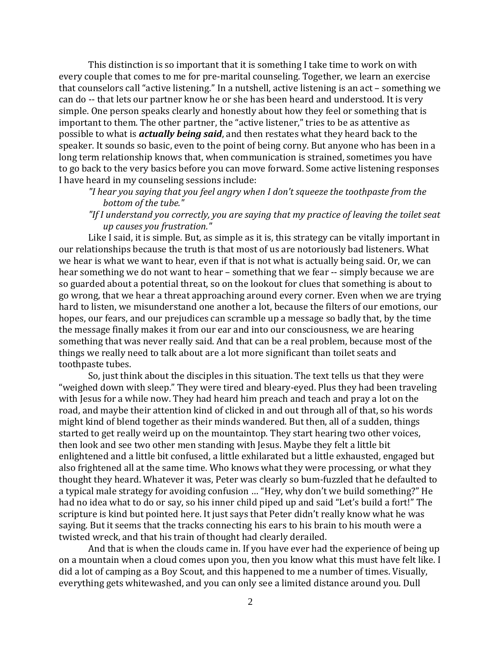This distinction is so important that it is something I take time to work on with every couple that comes to me for pre-marital counseling. Together, we learn an exercise that counselors call "active listening." In a nutshell, active listening is an act – something we can do -- that lets our partner know he or she has been heard and understood. It is very simple. One person speaks clearly and honestly about how they feel or something that is important to them. The other partner, the "active listener," tries to be as attentive as possible to what is *actually being said*, and then restates what they heard back to the speaker. It sounds so basic, even to the point of being corny. But anyone who has been in a long term relationship knows that, when communication is strained, sometimes you have to go back to the very basics before you can move forward. Some active listening responses I have heard in my counseling sessions include:

- *"I hear you saying that you feel angry when I don't squeeze the toothpaste from the bottom of the tube."*
- *"If I understand you correctly, you are saying that my practice of leaving the toilet seat up causes you frustration."*

Like I said, it is simple. But, as simple as it is, this strategy can be vitally important in our relationships because the truth is that most of us are notoriously bad listeners. What we hear is what we want to hear, even if that is not what is actually being said. Or, we can hear something we do not want to hear – something that we fear -- simply because we are so guarded about a potential threat, so on the lookout for clues that something is about to go wrong, that we hear a threat approaching around every corner. Even when we are trying hard to listen, we misunderstand one another a lot, because the filters of our emotions, our hopes, our fears, and our prejudices can scramble up a message so badly that, by the time the message finally makes it from our ear and into our consciousness, we are hearing something that was never really said. And that can be a real problem, because most of the things we really need to talk about are a lot more significant than toilet seats and toothpaste tubes.

So, just think about the disciples in this situation. The text tells us that they were "weighed down with sleep." They were tired and bleary-eyed. Plus they had been traveling with Jesus for a while now. They had heard him preach and teach and pray a lot on the road, and maybe their attention kind of clicked in and out through all of that, so his words might kind of blend together as their minds wandered. But then, all of a sudden, things started to get really weird up on the mountaintop. They start hearing two other voices, then look and see two other men standing with Jesus. Maybe they felt a little bit enlightened and a little bit confused, a little exhilarated but a little exhausted, engaged but also frightened all at the same time. Who knows what they were processing, or what they thought they heard. Whatever it was, Peter was clearly so bum-fuzzled that he defaulted to a typical male strategy for avoiding confusion … "Hey, why don't we build something?" He had no idea what to do or say, so his inner child piped up and said "Let's build a fort!" The scripture is kind but pointed here. It just says that Peter didn't really know what he was saying. But it seems that the tracks connecting his ears to his brain to his mouth were a twisted wreck, and that his train of thought had clearly derailed.

And that is when the clouds came in. If you have ever had the experience of being up on a mountain when a cloud comes upon you, then you know what this must have felt like. I did a lot of camping as a Boy Scout, and this happened to me a number of times. Visually, everything gets whitewashed, and you can only see a limited distance around you. Dull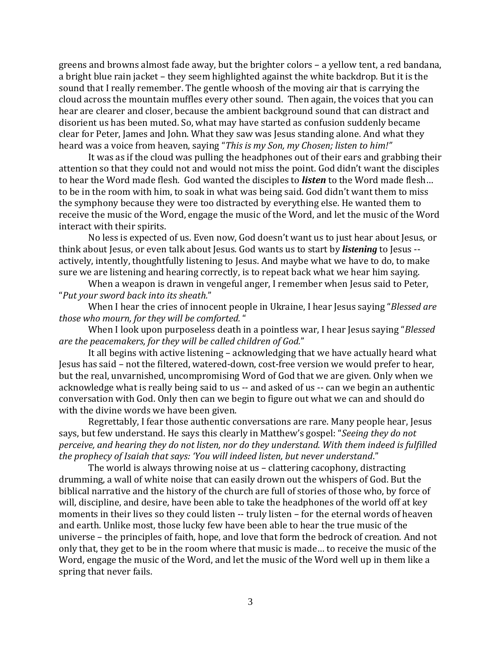greens and browns almost fade away, but the brighter colors – a yellow tent, a red bandana, a bright blue rain jacket – they seem highlighted against the white backdrop. But it is the sound that I really remember. The gentle whoosh of the moving air that is carrying the cloud across the mountain muffles every other sound. Then again, the voices that you can hear are clearer and closer, because the ambient background sound that can distract and disorient us has been muted. So, what may have started as confusion suddenly became clear for Peter, James and John. What they saw was Jesus standing alone. And what they heard was a voice from heaven, saying "*This is my Son, my Chosen; listen to him!"*

It was as if the cloud was pulling the headphones out of their ears and grabbing their attention so that they could not and would not miss the point. God didn't want the disciples to hear the Word made flesh. God wanted the disciples to *listen* to the Word made flesh… to be in the room with him, to soak in what was being said. God didn't want them to miss the symphony because they were too distracted by everything else. He wanted them to receive the music of the Word, engage the music of the Word, and let the music of the Word interact with their spirits.

No less is expected of us. Even now, God doesn't want us to just hear about Jesus, or think about Jesus, or even talk about Jesus. God wants us to start by *listening* to Jesus - actively, intently, thoughtfully listening to Jesus. And maybe what we have to do, to make sure we are listening and hearing correctly, is to repeat back what we hear him saying.

When a weapon is drawn in vengeful anger, I remember when Jesus said to Peter, "*Put your sword back into its sheath.*"

When I hear the cries of innocent people in Ukraine, I hear Jesus saying "*Blessed are those who mourn, for they will be comforted.* "

When I look upon purposeless death in a pointless war, I hear Jesus saying "*Blessed are the peacemakers, for they will be called children of God.*"

It all begins with active listening – acknowledging that we have actually heard what Jesus has said – not the filtered, watered-down, cost-free version we would prefer to hear, but the real, unvarnished, uncompromising Word of God that we are given. Only when we acknowledge what is really being said to us -- and asked of us -- can we begin an authentic conversation with God. Only then can we begin to figure out what we can and should do with the divine words we have been given.

Regrettably, I fear those authentic conversations are rare. Many people hear, Jesus says, but few understand. He says this clearly in Matthew's gospel: "*Seeing they do not perceive, and hearing they do not listen, nor do they understand. With them indeed is fulfilled the prophecy of Isaiah that says: 'You will indeed listen, but never understand*."

The world is always throwing noise at us – clattering cacophony, distracting drumming, a wall of white noise that can easily drown out the whispers of God. But the biblical narrative and the history of the church are full of stories of those who, by force of will, discipline, and desire, have been able to take the headphones of the world off at key moments in their lives so they could listen -- truly listen - for the eternal words of heaven and earth. Unlike most, those lucky few have been able to hear the true music of the universe – the principles of faith, hope, and love that form the bedrock of creation. And not only that, they get to be in the room where that music is made… to receive the music of the Word, engage the music of the Word, and let the music of the Word well up in them like a spring that never fails.